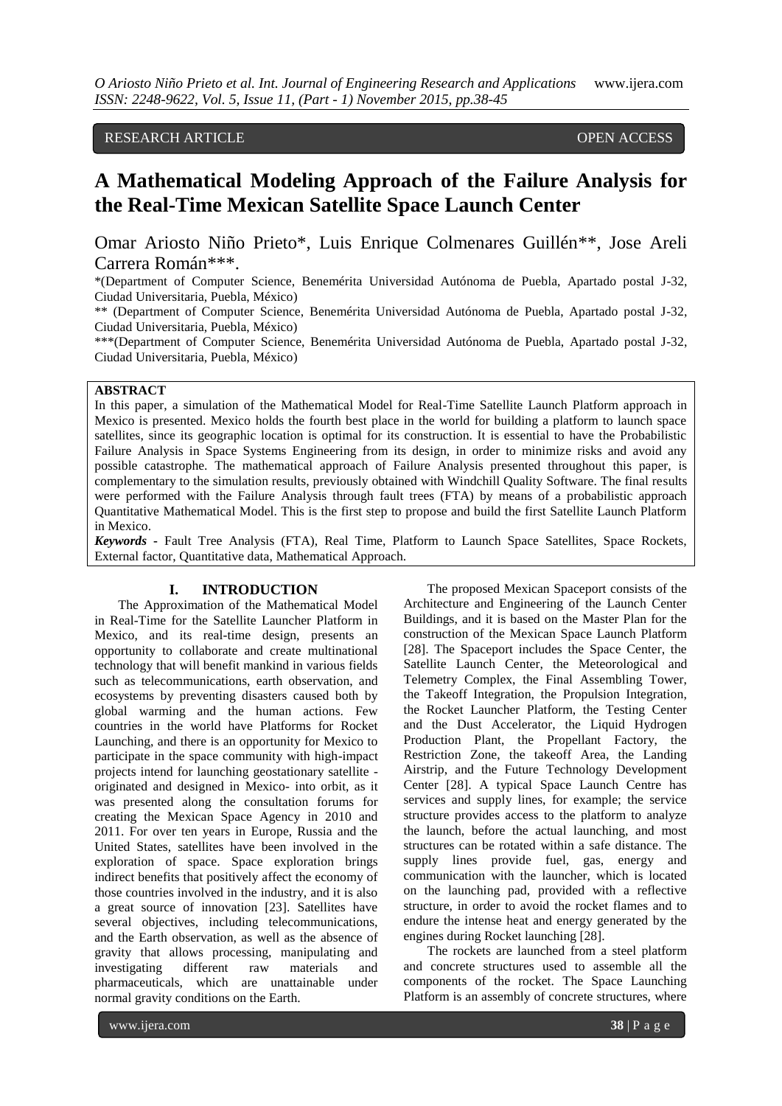# RESEARCH ARTICLE OPEN ACCESS

# **A Mathematical Modeling Approach of the Failure Analysis for the Real-Time Mexican Satellite Space Launch Center**

Omar Ariosto Niño Prieto\*, Luis Enrique Colmenares Guillén\*\*, Jose Areli Carrera Román\*\*\*.

\*(Department of Computer Science, Benemérita Universidad Autónoma de Puebla, Apartado postal J-32, Ciudad Universitaria, Puebla, México)

\*\* (Department of Computer Science, Benemérita Universidad Autónoma de Puebla, Apartado postal J-32, Ciudad Universitaria, Puebla, México)

\*\*\*(Department of Computer Science, Benemérita Universidad Autónoma de Puebla, Apartado postal J-32, Ciudad Universitaria, Puebla, México)

# **ABSTRACT**

In this paper, a simulation of the Mathematical Model for Real-Time Satellite Launch Platform approach in Mexico is presented. Mexico holds the fourth best place in the world for building a platform to launch space satellites, since its geographic location is optimal for its construction. It is essential to have the Probabilistic Failure Analysis in Space Systems Engineering from its design, in order to minimize risks and avoid any possible catastrophe. The mathematical approach of Failure Analysis presented throughout this paper, is complementary to the simulation results, previously obtained with Windchill Quality Software. The final results were performed with the Failure Analysis through fault trees (FTA) by means of a probabilistic approach Quantitative Mathematical Model. This is the first step to propose and build the first Satellite Launch Platform in Mexico.

*Keywords* **-** Fault Tree Analysis (FTA), Real Time, Platform to Launch Space Satellites, Space Rockets, External factor, Quantitative data, Mathematical Approach.

### **I. INTRODUCTION**

The Approximation of the Mathematical Model in Real-Time for the Satellite Launcher Platform in Mexico, and its real-time design, presents an opportunity to collaborate and create multinational technology that will benefit mankind in various fields such as telecommunications, earth observation, and ecosystems by preventing disasters caused both by global warming and the human actions. Few countries in the world have Platforms for Rocket Launching, and there is an opportunity for Mexico to participate in the space community with high-impact projects intend for launching geostationary satellite originated and designed in Mexico- into orbit, as it was presented along the consultation forums for creating the Mexican Space Agency in 2010 and 2011. For over ten years in Europe, Russia and the United States, satellites have been involved in the exploration of space. Space exploration brings indirect benefits that positively affect the economy of those countries involved in the industry, and it is also a great source of innovation [23]. Satellites have several objectives, including telecommunications, and the Earth observation, as well as the absence of gravity that allows processing, manipulating and investigating different raw materials and pharmaceuticals, which are unattainable under normal gravity conditions on the Earth.

The proposed Mexican Spaceport consists of the Architecture and Engineering of the Launch Center Buildings, and it is based on the Master Plan for the construction of the Mexican Space Launch Platform [28]. The Spaceport includes the Space Center, the Satellite Launch Center, the Meteorological and Telemetry Complex, the Final Assembling Tower, the Takeoff Integration, the Propulsion Integration, the Rocket Launcher Platform, the Testing Center and the Dust Accelerator, the Liquid Hydrogen Production Plant, the Propellant Factory, the Restriction Zone, the takeoff Area, the Landing Airstrip, and the Future Technology Development Center [28]. A typical Space Launch Centre has services and supply lines, for example; the service structure provides access to the platform to analyze the launch, before the actual launching, and most structures can be rotated within a safe distance. The supply lines provide fuel, gas, energy and communication with the launcher, which is located on the launching pad, provided with a reflective structure, in order to avoid the rocket flames and to endure the intense heat and energy generated by the engines during Rocket launching [28].

The rockets are launched from a steel platform and concrete structures used to assemble all the components of the rocket. The Space Launching Platform is an assembly of concrete structures, where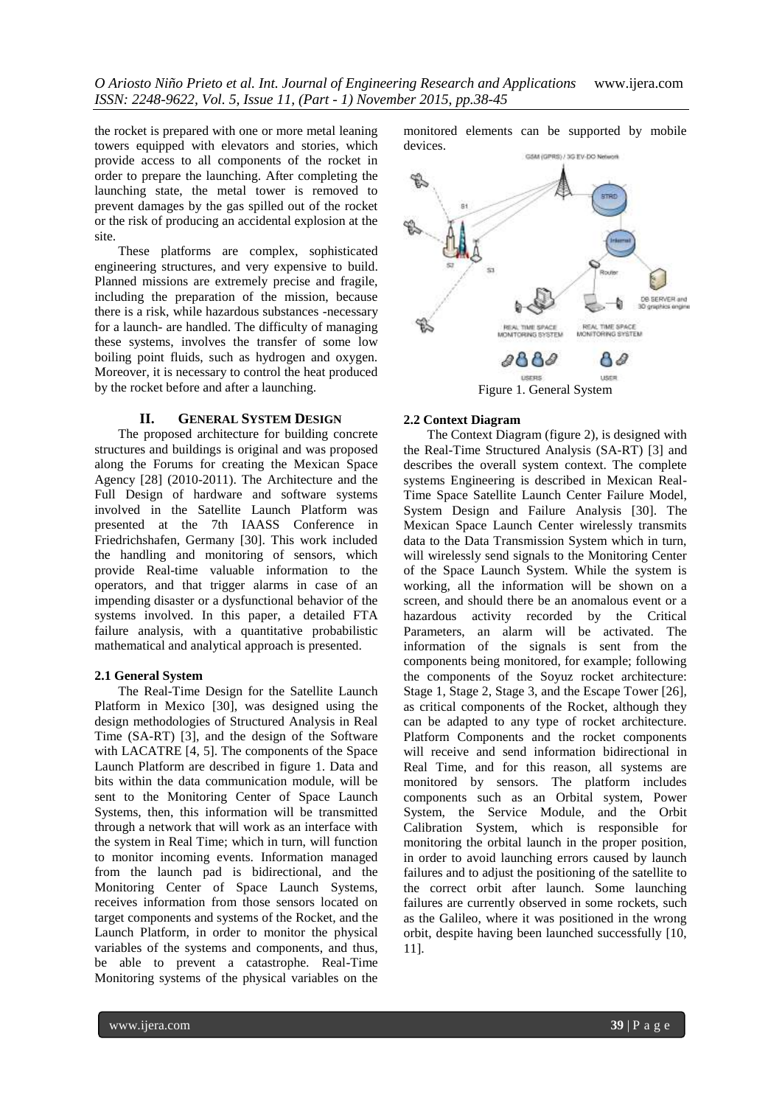*O Ariosto Niño Prieto et al. Int. Journal of Engineering Research and Applications* www.ijera.com *ISSN: 2248-9622, Vol. 5, Issue 11, (Part - 1) November 2015, pp.38-45*

the rocket is prepared with one or more metal leaning towers equipped with elevators and stories, which provide access to all components of the rocket in order to prepare the launching. After completing the launching state, the metal tower is removed to prevent damages by the gas spilled out of the rocket or the risk of producing an accidental explosion at the site.

These platforms are complex, sophisticated engineering structures, and very expensive to build. Planned missions are extremely precise and fragile, including the preparation of the mission, because there is a risk, while hazardous substances -necessary for a launch- are handled. The difficulty of managing these systems, involves the transfer of some low boiling point fluids, such as hydrogen and oxygen. Moreover, it is necessary to control the heat produced by the rocket before and after a launching.

#### **II. GENERAL SYSTEM DESIGN**

The proposed architecture for building concrete structures and buildings is original and was proposed along the Forums for creating the Mexican Space Agency [28] (2010-2011). The Architecture and the Full Design of hardware and software systems involved in the Satellite Launch Platform was presented at the 7th IAASS Conference in Friedrichshafen, Germany [30]. This work included the handling and monitoring of sensors, which provide Real-time valuable information to the operators, and that trigger alarms in case of an impending disaster or a dysfunctional behavior of the systems involved. In this paper, a detailed FTA failure analysis, with a quantitative probabilistic mathematical and analytical approach is presented.

#### **2.1 General System**

The Real-Time Design for the Satellite Launch Platform in Mexico [30], was designed using the design methodologies of Structured Analysis in Real Time (SA-RT) [3], and the design of the Software with LACATRE [4, 5]. The components of the Space Launch Platform are described in figure 1. Data and bits within the data communication module, will be sent to the Monitoring Center of Space Launch Systems, then, this information will be transmitted through a network that will work as an interface with the system in Real Time; which in turn, will function to monitor incoming events. Information managed from the launch pad is bidirectional, and the Monitoring Center of Space Launch Systems, receives information from those sensors located on target components and systems of the Rocket, and the Launch Platform, in order to monitor the physical variables of the systems and components, and thus, be able to prevent a catastrophe. Real-Time Monitoring systems of the physical variables on the

monitored elements can be supported by mobile devices.



#### **2.2 Context Diagram**

The Context Diagram (figure 2), is designed with the Real-Time Structured Analysis (SA-RT) [3] and describes the overall system context. The complete systems Engineering is described in Mexican Real-Time Space Satellite Launch Center Failure Model, System Design and Failure Analysis [30]. The Mexican Space Launch Center wirelessly transmits data to the Data Transmission System which in turn, will wirelessly send signals to the Monitoring Center of the Space Launch System. While the system is working, all the information will be shown on a screen, and should there be an anomalous event or a hazardous activity recorded by the Critical Parameters, an alarm will be activated. The information of the signals is sent from the components being monitored, for example; following the components of the Soyuz rocket architecture: Stage 1, Stage 2, Stage 3, and the Escape Tower [26], as critical components of the Rocket, although they can be adapted to any type of rocket architecture. Platform Components and the rocket components will receive and send information bidirectional in Real Time, and for this reason, all systems are monitored by sensors. The platform includes components such as an Orbital system, Power System, the Service Module, and the Orbit Calibration System, which is responsible for monitoring the orbital launch in the proper position, in order to avoid launching errors caused by launch failures and to adjust the positioning of the satellite to the correct orbit after launch. Some launching failures are currently observed in some rockets, such as the Galileo, where it was positioned in the wrong orbit, despite having been launched successfully [10, 11].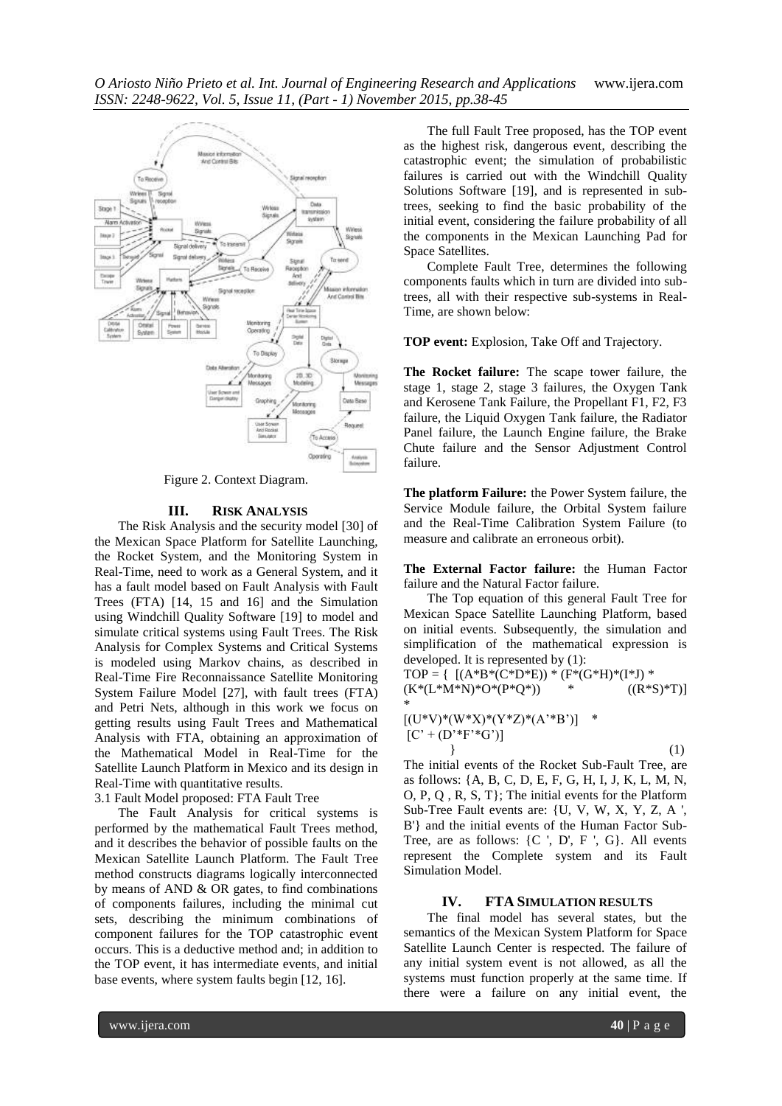

Figure 2. Context Diagram.

#### **III. RISK ANALYSIS**

The Risk Analysis and the security model [30] of the Mexican Space Platform for Satellite Launching, the Rocket System, and the Monitoring System in Real-Time, need to work as a General System, and it has a fault model based on Fault Analysis with Fault Trees (FTA) [14, 15 and 16] and the Simulation using Windchill Quality Software [19] to model and simulate critical systems using Fault Trees. The Risk Analysis for Complex Systems and Critical Systems is modeled using Markov chains, as described in Real-Time Fire Reconnaissance Satellite Monitoring System Failure Model [27], with fault trees (FTA) and Petri Nets, although in this work we focus on getting results using Fault Trees and Mathematical Analysis with FTA, obtaining an approximation of the Mathematical Model in Real-Time for the Satellite Launch Platform in Mexico and its design in Real-Time with quantitative results.

3.1 Fault Model proposed: FTA Fault Tree

The Fault Analysis for critical systems is performed by the mathematical Fault Trees method, and it describes the behavior of possible faults on the Mexican Satellite Launch Platform. The Fault Tree method constructs diagrams logically interconnected by means of AND & OR gates, to find combinations of components failures, including the minimal cut sets, describing the minimum combinations of component failures for the TOP catastrophic event occurs. This is a deductive method and; in addition to the TOP event, it has intermediate events, and initial base events, where system faults begin [12, 16].

The full Fault Tree proposed, has the TOP event as the highest risk, dangerous event, describing the catastrophic event; the simulation of probabilistic failures is carried out with the Windchill Quality Solutions Software [19], and is represented in subtrees, seeking to find the basic probability of the initial event, considering the failure probability of all the components in the Mexican Launching Pad for Space Satellites.

Complete Fault Tree, determines the following components faults which in turn are divided into subtrees, all with their respective sub-systems in Real-Time, are shown below:

**TOP event:** Explosion, Take Off and Trajectory.

**The Rocket failure:** The scape tower failure, the stage 1, stage 2, stage 3 failures, the Oxygen Tank and Kerosene Tank Failure, the Propellant F1, F2, F3 failure, the Liquid Oxygen Tank failure, the Radiator Panel failure, the Launch Engine failure, the Brake Chute failure and the Sensor Adjustment Control failure.

**The platform Failure:** the Power System failure, the Service Module failure, the Orbital System failure and the Real-Time Calibration System Failure (to measure and calibrate an erroneous orbit).

**The External Factor failure:** the Human Factor failure and the Natural Factor failure.

The Top equation of this general Fault Tree for Mexican Space Satellite Launching Platform, based on initial events. Subsequently, the simulation and simplification of the mathematical expression is developed. It is represented by (1):

TOP = { [(A\*B\*(C\*D\*E)) \* (F\*(G\*H)\*(I\*J) \*  $(K*(L*N*N)*O*(P*Q*))$  \*  $((R*S)*T)]$ \*

$$
\begin{array}{ll}\n[(U^*V)^*(W^*X)^*(Y^*Z)^*(A^*B')] & * \\
[C' + (D^*F^*G')] & & \\
\end{array} \tag{1}
$$

The initial events of the Rocket Sub-Fault Tree, are as follows: {A, B, C, D, E, F, G, H, I, J, K, L, M, N, O, P, Q , R, S, T}; The initial events for the Platform Sub-Tree Fault events are: {U, V, W, X, Y, Z, A ', B'} and the initial events of the Human Factor Sub-Tree, are as follows:  $\{C, D, F, G\}$ . All events represent the Complete system and its Fault Simulation Model.

#### **IV. FTA SIMULATION RESULTS**

The final model has several states, but the semantics of the Mexican System Platform for Space Satellite Launch Center is respected. The failure of any initial system event is not allowed, as all the systems must function properly at the same time. If there were a failure on any initial event, the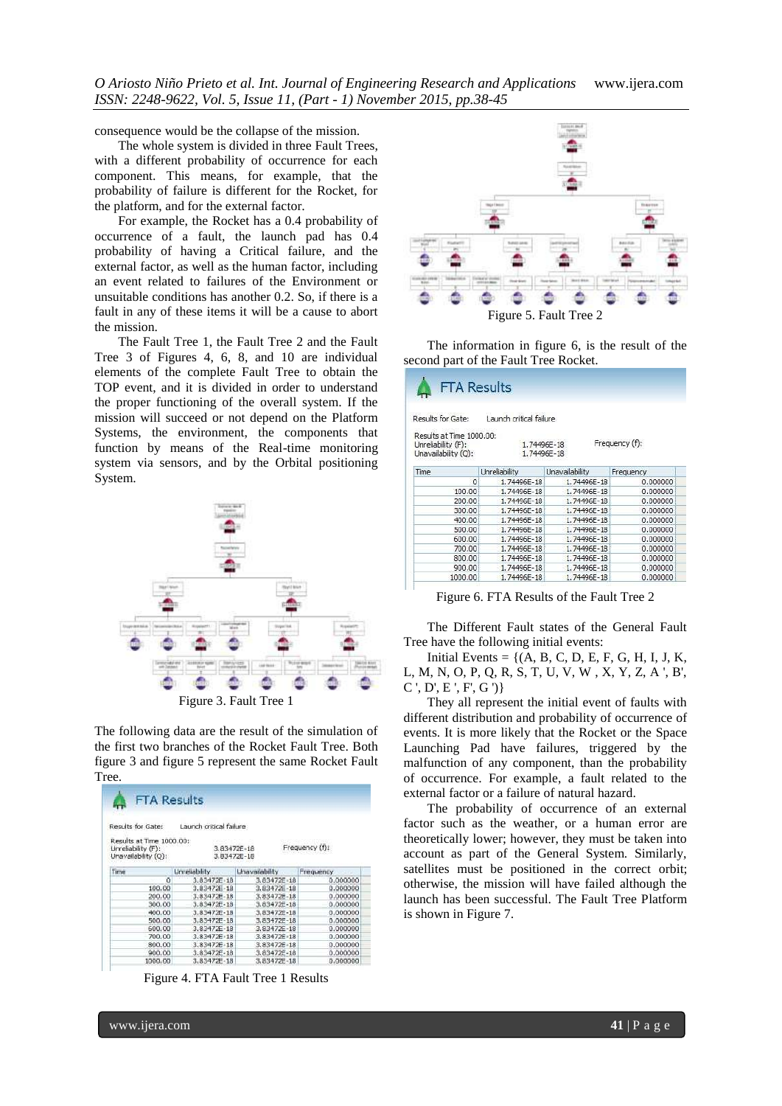*O Ariosto Niño Prieto et al. Int. Journal of Engineering Research and Applications* www.ijera.com *ISSN: 2248-9622, Vol. 5, Issue 11, (Part - 1) November 2015, pp.38-45*

consequence would be the collapse of the mission.

The whole system is divided in three Fault Trees, with a different probability of occurrence for each component. This means, for example, that the probability of failure is different for the Rocket, for the platform, and for the external factor.

For example, the Rocket has a 0.4 probability of occurrence of a fault, the launch pad has 0.4 probability of having a Critical failure, and the external factor, as well as the human factor, including an event related to failures of the Environment or unsuitable conditions has another 0.2. So, if there is a fault in any of these items it will be a cause to abort the mission.

The Fault Tree 1, the Fault Tree 2 and the Fault Tree 3 of Figures 4, 6, 8, and 10 are individual elements of the complete Fault Tree to obtain the TOP event, and it is divided in order to understand the proper functioning of the overall system. If the mission will succeed or not depend on the Platform Systems, the environment, the components that function by means of the Real-time monitoring system via sensors, and by the Orbital positioning System.



The following data are the result of the simulation of the first two branches of the Rocket Fault Tree. Both figure 3 and figure 5 represent the same Rocket Fault Tree.

|                                                                       | <b>FTA Results</b>         |                 |                |
|-----------------------------------------------------------------------|----------------------------|-----------------|----------------|
| Results for Gate:                                                     | Launch critical failure    |                 |                |
| Results at Time 1000.00:<br>Unreliability (F):<br>Unavailability (Q): | 3.83472E-18<br>3.83472E-18 |                 | Frequency (f): |
| Time                                                                  | Unreliability              | Unavailability  | Frequency      |
| Ō                                                                     | $3.83472E - 18$            | 3.83472E-18     | 0.000000       |
| 100.00                                                                | 3.83472E-18                | 3.83472E-18     | 0.000000       |
| 200.00                                                                | 3.83472E-18                | 3.83472E-18     | 0.000000       |
| 300.00                                                                | 3.83472E-18                | 3.83472E-18     | 0.000000       |
| 400.00                                                                | 3.83472E-18                | 3.834726-18     | 0.000000       |
| 500.00                                                                | 3,83472E-18                | 3.83472E-18     | 0.000000       |
| 600.00                                                                | $3.83472E - 18$            | $3.83472E - 18$ | 0.000000       |
| 700.00                                                                | 3.83472E-18                | 3.83472E-18     | 0.000000       |
| 800.00                                                                | $3.83472E - 18$            | $3.83472E - 18$ | 0.000000       |
| 900.00                                                                | 3.83472E-18                | 3.83472E-18     | 0.000000       |
| 1000.00                                                               | 3.83472E-18                | 3.83472E-18     | 0.000000       |

Figure 4. FTA Fault Tree 1 Results



The information in figure 6, is the result of the second part of the Fault Tree Rocket.

| <b>FTA Results</b>                                                    |                          |                            |                |
|-----------------------------------------------------------------------|--------------------------|----------------------------|----------------|
| Results for Gate:                                                     | Launch critical failure. |                            |                |
| Results at Time 1000.00:<br>Unreliability (F):<br>Unavailability (Q): |                          | 1.74496E-18<br>1.74496E-18 | Frequency (f): |
| Time                                                                  | Unreliability            | Unavailability             | Frequency      |
| 0                                                                     | 1.74496E-18              | 1.74496E-18                | 0.000000       |
| 100.00                                                                | 1,74496E-18              | 1,74496E-18                | 0.000000       |
| 200.00                                                                | 1.74496E-18              | 1.74496E-18                | 0.000000       |
| 300.00                                                                | 1.74496E-18              | 1.74496E-18                | 0.000000       |
| 400.00                                                                | 1.74496E-18              | 1.74496E-18                | 0.000000       |
| 500.00                                                                | 1,74496E-18              | 1,74496E-18                | 0.000000       |
| 600.00                                                                | 1.74496E-18              | 1.74496E-18                | 0.000000       |
| 700.00                                                                | 1,74496E-18              | 1,74496E-18                | 0.000000       |
| 800.00                                                                | 1.74496E-18              | 1.74496E-18                | 0.000000       |
| 900.00                                                                | 1.74496E-18              | 1.74496E-18                | 0.000000       |
| 1000.00                                                               | 1.74496E-18              | 1.74496E-18                | 0.000000       |

Figure 6. FTA Results of the Fault Tree 2

The Different Fault states of the General Fault Tree have the following initial events:

Initial Events =  $\{(A, B, C, D, E, F, G, H, I, J, K,$ L, M, N, O, P, Q, R, S, T, U, V, W , X, Y, Z, A ', B',  $C', D', E', F, G'$ 

They all represent the initial event of faults with different distribution and probability of occurrence of events. It is more likely that the Rocket or the Space Launching Pad have failures, triggered by the malfunction of any component, than the probability of occurrence. For example, a fault related to the external factor or a failure of natural hazard.

The probability of occurrence of an external factor such as the weather, or a human error are theoretically lower; however, they must be taken into account as part of the General System. Similarly, satellites must be positioned in the correct orbit; otherwise, the mission will have failed although the launch has been successful. The Fault Tree Platform is shown in Figure 7.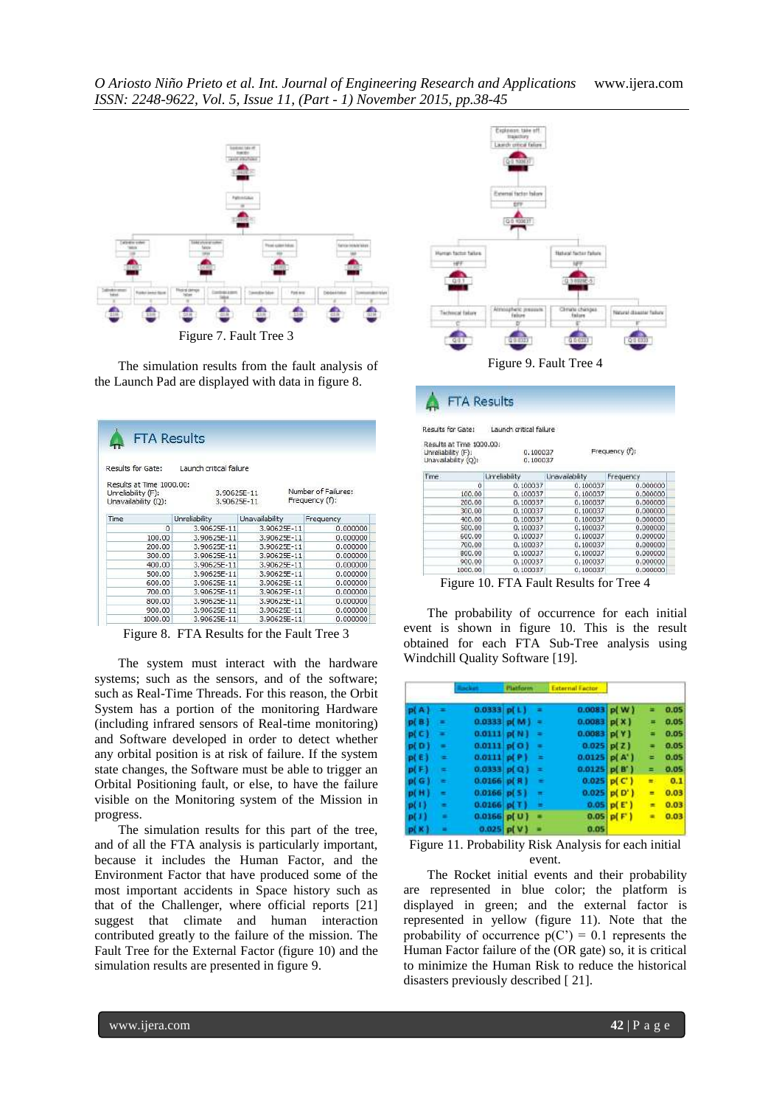

The simulation results from the fault analysis of the Launch Pad are displayed with data in figure 8.

| Results for Gate:                                                     | Launch critical failure |                |                                       |
|-----------------------------------------------------------------------|-------------------------|----------------|---------------------------------------|
| Results at Time 1000.00:<br>Unreliability (F):<br>Unavailability (Q): | 3.90625E-11             | 3.90625E-11    | Number of Failures:<br>Frequency (f): |
| Time                                                                  | Unreliability           | Unavailability | Frequency                             |
| 0                                                                     | 3.90625E-11             | 3.90625E-11    | 0.000000                              |
| 100.00                                                                | 3.90625E-11             | 3.90625E-11    | 0.000000                              |
| 200.00                                                                | 3.90625E-11             | 3.90625E-11    | 0.000000                              |
| 300.00                                                                | 3.90625F-11             | 3.90625F-11    | 0.000000                              |
| 400.00                                                                | 3.90625E-11             | 3.90625E-11    | 0.000000                              |
| 500.00                                                                | 3.90625E-11             | 3.90625E-11    | 0.000000                              |
| 600.00                                                                | 3.90625F-11             | 3.90625F-11    | 0.000000                              |
| 700.00                                                                | 3.90625E-11             | 3.90625E-11    | 0.000000                              |
| 800.00                                                                | 3.90625E-11             | 3.90625E-11    | 0.000000                              |
| 900.00                                                                | 3.90625E-11             | 3.90625E-11    | 0.000000                              |
| 1000.00                                                               | 3.90625E-11             | 3.90625E-11    | 0.000000                              |

Figure 8. FTA Results for the Fault Tree 3

The system must interact with the hardware systems; such as the sensors, and of the software; such as Real-Time Threads. For this reason, the Orbit System has a portion of the monitoring Hardware (including infrared sensors of Real-time monitoring) and Software developed in order to detect whether any orbital position is at risk of failure. If the system state changes, the Software must be able to trigger an Orbital Positioning fault, or else, to have the failure visible on the Monitoring system of the Mission in progress.

The simulation results for this part of the tree, and of all the FTA analysis is particularly important, because it includes the Human Factor, and the Environment Factor that have produced some of the most important accidents in Space history such as that of the Challenger, where official reports [21] suggest that climate and human interaction contributed greatly to the failure of the mission. The Fault Tree for the External Factor (figure 10) and the simulation results are presented in figure 9.



|  | FTA Results |  |  |
|--|-------------|--|--|
|  |             |  |  |

| <b>Results for Gate:</b> |  | Launch critical failure |  |
|--------------------------|--|-------------------------|--|
|                          |  |                         |  |

Results at Time 1000.00:

| Unreliability (F):<br>Unavailability (Q): | 0.100037<br>0.100037 |                | Frequency (f): |  |  |
|-------------------------------------------|----------------------|----------------|----------------|--|--|
| Time                                      | Unreliability        | Unavailability | Frequency      |  |  |
| ō                                         | 0.100037             | 0.100037       | 0.000000       |  |  |
| 100.00                                    | 0.100037             | 0.100037       | 0.000000       |  |  |
| 200.00                                    | 0.100037             | 0.100037       | 0.000000       |  |  |
| 300,00                                    | 0.100037             | 0.100037       | 0.000000       |  |  |
| 400.00                                    | 0.100037             | 0.100037       | 0.000000       |  |  |
| 500.00                                    | 0.100037             | 0.100037       | 0.000000       |  |  |
| 600.00                                    | 0.100037             | 0.100037       | 0.000000       |  |  |
| 700.00                                    | 0.100037             | 0.100037       | 0.000000       |  |  |
| 800.00                                    | 0.100037             | 0.100037       | 0.000000       |  |  |
| 900.00                                    | 0.100037             | 0.100037       | 0.000000       |  |  |
| 1000.00                                   | 0.100037             | 0.100037       | 0.000000       |  |  |

Figure 10. FTA Fault Results for Tree 4

The probability of occurrence for each initial event is shown in figure 10. This is the result obtained for each FTA Sub-Tree analysis using Windchill Quality Software [19].

|      |                |                   | <b>Matform</b>  |          | <b>External Eactor</b> |                   |    |      |
|------|----------------|-------------------|-----------------|----------|------------------------|-------------------|----|------|
| p(A) | ۰              | 0.0333 p(L)       |                 | $\equiv$ | $0.0083$ p(W)          |                   | =  | 0.05 |
| p(B) | $\equiv$       |                   | $0.0333$ p(M) = |          | $0.0083$ p( $X$ )      |                   | Ξ  | 0.05 |
| p(C) | $\equiv$       | $0.0111$ p( $N$ ) |                 | ٠        | $0.0083$ p( Y )        |                   | Ξ  | 0.05 |
| p(D) | $\blacksquare$ | $0.0111$ p( $0$ ) |                 | ٠        | $0.025$ p( $Z$ )       |                   |    | 0.05 |
| p(E) | $=$            | $0.0111$ p( $P$ ) |                 | Ξ        | $0.0125$ p(A')         |                   | =  | 0.05 |
| p(F) | $=$            | $0.0333$ p(Q)     |                 | $\equiv$ | $0.0125$ p( $B'$ )     |                   | Ξ  | 0.05 |
| p(G) | ۰              | $0.0166$ p(R)     |                 | Ξ        |                        | 0.025 p(C)        | ×. | 0.1  |
| p(H) | ÷              | $0.0166$ p( $5$ ) |                 | m.       |                        | $0.025$ p( $D'$ ) | Ξ  | 0.03 |
| p(1) | ۰              | $0.0166$ p(T)     |                 | ÷        |                        | 0.05 p(E')        | ×  | 0.03 |
| p(1) | ٠              | $0.0166$ p(U)     |                 |          |                        | $0.05$ p( $F$ )   | ٠  | 0.03 |
| p(K) | $=$            |                   | $0.025$ p(V)    |          | 0.05                   |                   |    |      |



The Rocket initial events and their probability are represented in blue color; the platform is displayed in green; and the external factor is represented in yellow (figure 11). Note that the probability of occurrence  $p(C') = 0.1$  represents the Human Factor failure of the (OR gate) so, it is critical to minimize the Human Risk to reduce the historical disasters previously described [ 21].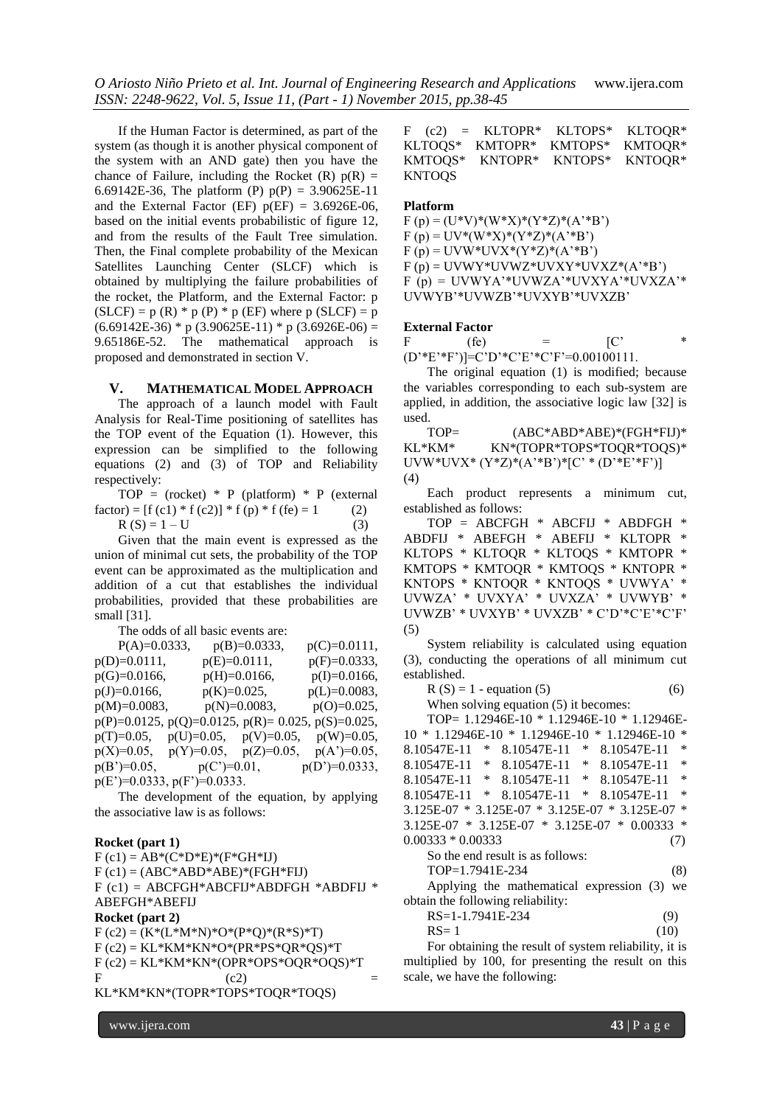*O Ariosto Niño Prieto et al. Int. Journal of Engineering Research and Applications* www.ijera.com *ISSN: 2248-9622, Vol. 5, Issue 11, (Part - 1) November 2015, pp.38-45*

If the Human Factor is determined, as part of the system (as though it is another physical component of the system with an AND gate) then you have the chance of Failure, including the Rocket  $(R)$   $p(R)$  = 6.69142E-36, The platform (P)  $p(P) = 3.90625E-11$ and the External Factor (EF)  $p(EF) = 3.6926E-06$ , based on the initial events probabilistic of figure 12, and from the results of the Fault Tree simulation. Then, the Final complete probability of the Mexican Satellites Launching Center (SLCF) which is obtained by multiplying the failure probabilities of the rocket, the Platform, and the External Factor: p  $(SLCF) = p (R) * p (P) * p (EF)$  where p  $(SLCF) = p$  $(6.69142E-36)$  \* p  $(3.90625E-11)$  \* p  $(3.6926E-06)$  = 9.65186E-52. The mathematical approach is proposed and demonstrated in section V.

# **V. MATHEMATICAL MODEL APPROACH**

The approach of a launch model with Fault Analysis for Real-Time positioning of satellites has the TOP event of the Equation (1). However, this expression can be simplified to the following equations (2) and (3) of TOP and Reliability respectively:

TOP = (rocket) \* P (platform) \* P (external  $factor) = [f(c1) * f(c2)] * f(p) * f(fe) = 1$  (2)  $R(S) = 1 - U$  (3)

Given that the main event is expressed as the union of minimal cut sets, the probability of the TOP event can be approximated as the multiplication and addition of a cut that establishes the individual probabilities, provided that these probabilities are small [31].

The odds of all basic events are:

| $P(A)=0.0333$ ,               | $p(B)=0.0333$ ,                | $p(C)=0.0111,$                                |
|-------------------------------|--------------------------------|-----------------------------------------------|
| p(D)=0.0111,                  | $p(E)=0.0111$ ,                | $p(F)=0.0333$ ,                               |
| $p(G)=0.0166,$                | $p(H)=0.0166,$                 | $p(I)=0.0166$ ,                               |
| $p(J)=0.0166,$                | $p(K)=0.025$ ,                 | $p(L)=0.0083,$                                |
| $p(M)=0.0083$ ,               | $p(N)=0.0083$ ,                | $p(O)=0.025$ ,                                |
| $p(P)=0.0125$ ,               |                                | $p(Q)=0.0125$ , $p(R)=0.025$ , $p(S)=0.025$ , |
| $p(T)=0.05$ ,                 | $p(U)=0.05$ , $p(V)=0.05$ ,    | $p(W)=0.05$ ,                                 |
| $p(X)=0.05$ ,                 | $p(Z)=0.05$ ,<br>$p(Y)=0.05$ , | $p(A')=0.05$ ,                                |
| $p(B')=0.05$ ,                | $p(C')=0.01$ ,                 | $p(D')=0.0333,$                               |
| $p(E')=0.0333, p(F')=0.0333.$ |                                |                                               |

The development of the equation, by applying the associative law is as follows:

#### **Rocket (part 1)**

 $F (c1) = AB * (C * D * E) * (F * GH * IJ)$  $F (c1) = (ABC*ABD*ABE)*(FGH*FIJ)$  $F$  (c1) = ABCFGH\*ABCFIJ\*ABDFGH \*ABDFIJ \* ABEFGH\*ABEFIJ **Rocket (part 2)**  $F (c2) = (K*(L*K*N)*O*(P*O)*(R*S)*T)$  $F$  (c2) = KL\*KM\*KN\*O\*(PR\*PS\*QR\*QS)\*T  $F (c2) = KL*KM*KN*(OPR*OPS*OQR*OQS)*T$ F  $(c2)$   $=$ KL\*KM\*KN\*(TOPR\*TOPS\*TOQR\*TOQS)

F (c2) = KLTOPR\* KLTOPS\* KLTOQR\*<br>KLTOQS\* KMTOPR\* KMTOPS\* KMTOOR\* KLTOQS\* KMTOPR\* KMTOPS\* KMTOQR\* KMTOQS\* KNTOPR\* KNTOPS\* KNTOQR\* KNTOQS

#### **Platform**

 $F (p) = (U^*V)^*(W^*X)^*(Y^*Z)^*(A^*B^*)$  $F (p) = UV^*(W^*X)^*(Y^*Z)^*(A^*B^*)$  $F (p) = UVW*UVX*(Y*Z)*(A'*B')$  $F(p) = UVWY*UVWZ*UVXY*UVXZ*(A'*B')$ F (p) = UVWYA'\*UVWZA'\*UVXYA'\*UVXZA'\* UVWYB'\*UVWZB'\*UVXYB'\*UVXZB'

#### **External Factor**

F (fe) =  $[{\rm C}^{\prime} \qquad \ast$ (D'\*E'\*F')]=C'D'\*C'E'\*C'F'=0.00100111.

The original equation (1) is modified; because the variables corresponding to each sub-system are applied, in addition, the associative logic law [32] is used.

TOP=  $(ABC^*ABD^*ABE)^*(FGH^*FIJ)^*$ KL\*KM\* KN\*(TOPR\*TOPS\*TOQR\*TOQS)\* UVW\*UVX\* (Y\*Z)\*(A'\*B')\*[C' \* (D'\*E'\*F')] (4)

Each product represents a minimum cut, established as follows:

TOP = ABCFGH \* ABCFIJ \* ABDFGH \* ABDFIJ \* ABEFGH \* ABEFIJ \* KLTOPR \* KLTOPS \* KLTOQR \* KLTOQS \* KMTOPR \* KMTOPS \* KMTOQR \* KMTOQS \* KNTOPR \* KNTOPS \* KNTOQR \* KNTOQS \* UVWYA' \* UVWZA' \* UVXYA' \* UVXZA' \* UVWYB' \* UVWZB' \* UVXYB' \* UVXZB' \* C'D'\*C'E'\*C'F' (5)

System reliability is calculated using equation (3), conducting the operations of all minimum cut established.

```
R(S) = 1 - equation (5) (6)
```
When solving equation  $(5)$  it becomes:

TOP= 1.12946E-10 \* 1.12946E-10 \* 1.12946E-10 \* 1.12946E-10 \* 1.12946E-10 \* 1.12946E-10 \* 8.10547E-11 \* 8.10547E-11 \* 8.10547E-11 \* 8.10547E-11 \* 8.10547E-11 \* 8.10547E-11 \* 8.10547E-11 \* 8.10547E-11 \* 8.10547E-11 \* 8.10547E-11 \* 8.10547E-11 \* 8.10547E-11 \* 3.125E-07 \* 3.125E-07 \* 3.125E-07 \* 3.125E-07 \* 3.125E-07 \* 3.125E-07 \* 3.125E-07 \* 0.00333 \*  $0.00333 * 0.00333$  (7) So the end result is as follows: TOP=1.7941E-234 (8) Applying the mathematical expression (3) we obtain the following reliability: RS=1-1.7941E-234 (9)  $RS = 1$  (10) For obtaining the result of system reliability, it is

multiplied by 100, for presenting the result on this scale, we have the following: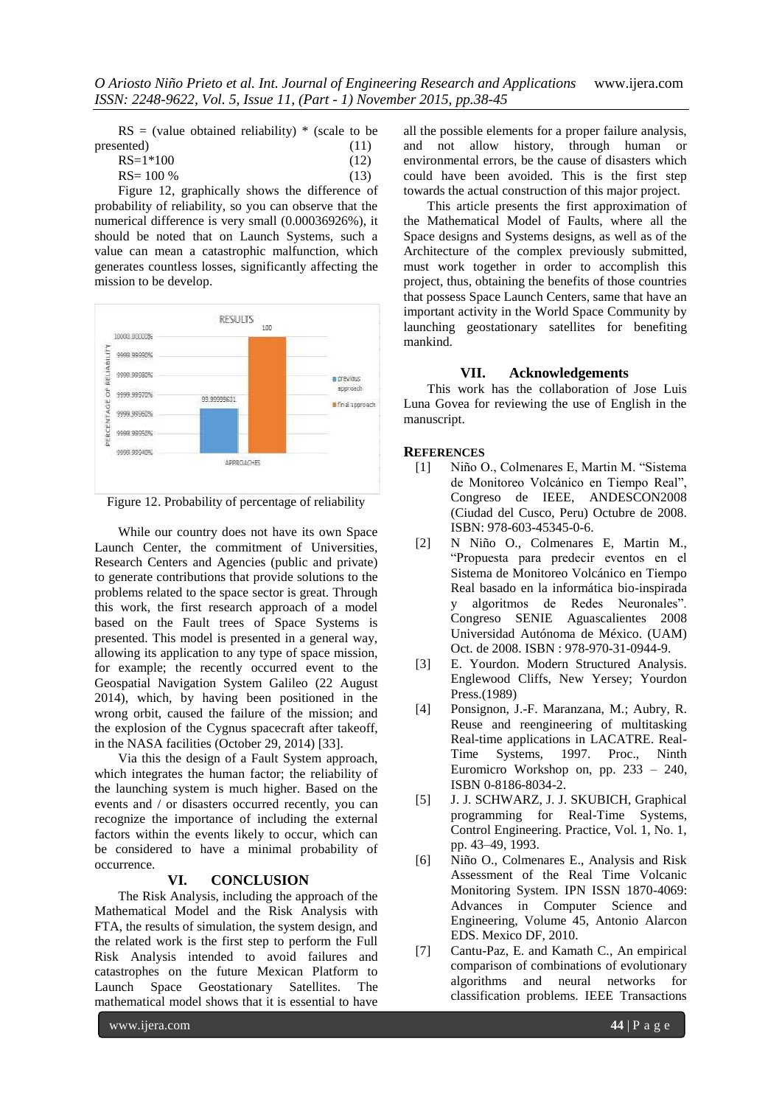| $RS = (value obtained reliability) * (scale to be$ |  |      |  |
|----------------------------------------------------|--|------|--|
| presented)                                         |  | (11) |  |
| $DC = 1$ $*100$                                    |  |      |  |

 $RS=1*100$  (12)  $RS = 100 \%$  (13)

Figure 12, graphically shows the difference of probability of reliability, so you can observe that the numerical difference is very small (0.00036926%), it should be noted that on Launch Systems, such a value can mean a catastrophic malfunction, which generates countless losses, significantly affecting the mission to be develop.



Figure 12. Probability of percentage of reliability

While our country does not have its own Space Launch Center, the commitment of Universities, Research Centers and Agencies (public and private) to generate contributions that provide solutions to the problems related to the space sector is great. Through this work, the first research approach of a model based on the Fault trees of Space Systems is presented. This model is presented in a general way, allowing its application to any type of space mission, for example; the recently occurred event to the Geospatial Navigation System Galileo (22 August 2014), which, by having been positioned in the wrong orbit, caused the failure of the mission; and the explosion of the Cygnus spacecraft after takeoff, in the NASA facilities (October 29, 2014) [33].

Via this the design of a Fault System approach, which integrates the human factor; the reliability of the launching system is much higher. Based on the events and / or disasters occurred recently, you can recognize the importance of including the external factors within the events likely to occur, which can be considered to have a minimal probability of occurrence.

# **VI. CONCLUSION**

The Risk Analysis, including the approach of the Mathematical Model and the Risk Analysis with FTA, the results of simulation, the system design, and the related work is the first step to perform the Full Risk Analysis intended to avoid failures and catastrophes on the future Mexican Platform to Launch Space Geostationary Satellites. The mathematical model shows that it is essential to have

all the possible elements for a proper failure analysis, and not allow history, through human or environmental errors, be the cause of disasters which could have been avoided. This is the first step towards the actual construction of this major project.

This article presents the first approximation of the Mathematical Model of Faults, where all the Space designs and Systems designs, as well as of the Architecture of the complex previously submitted, must work together in order to accomplish this project, thus, obtaining the benefits of those countries that possess Space Launch Centers, same that have an important activity in the World Space Community by launching geostationary satellites for benefiting mankind.

# **VII. Acknowledgements**

This work has the collaboration of Jose Luis Luna Govea for reviewing the use of English in the manuscript.

# **REFERENCES**

- [1] Niño O., Colmenares E, Martin M. "Sistema de Monitoreo Volcánico en Tiempo Real", Congreso de IEEE, ANDESCON2008 (Ciudad del Cusco, Peru) Octubre de 2008. ISBN: 978-603-45345-0-6.
- [2] N Niño O., Colmenares E, Martin M., "Propuesta para predecir eventos en el Sistema de Monitoreo Volcánico en Tiempo Real basado en la informática bio-inspirada y algoritmos de Redes Neuronales". Congreso SENIE Aguascalientes 2008 Universidad Autónoma de México. (UAM) Oct. de 2008. ISBN : 978-970-31-0944-9.
- [3] E. Yourdon. Modern Structured Analysis. Englewood Cliffs, New Yersey; Yourdon Press.(1989)
- [4] Ponsignon, J.-F. Maranzana, M.; Aubry, R. Reuse and reengineering of multitasking Real-time applications in LACATRE. Real-Time Systems, 1997. Proc., Ninth Euromicro Workshop on, pp. 233 – 240, ISBN 0-8186-8034-2.
- [5] J. J. SCHWARZ, J. J. SKUBICH, Graphical programming for Real-Time Systems, Control Engineering. Practice, Vol. 1, No. 1, pp. 43–49, 1993.
- [6] Niño O., Colmenares E., Analysis and Risk Assessment of the Real Time Volcanic Monitoring System. IPN ISSN 1870-4069: Advances in Computer Science and Engineering, Volume 45, Antonio Alarcon EDS. Mexico DF, 2010.
- [7] Cantu-Paz, E. and Kamath C., An empirical comparison of combinations of evolutionary algorithms and neural networks for classification problems. IEEE Transactions